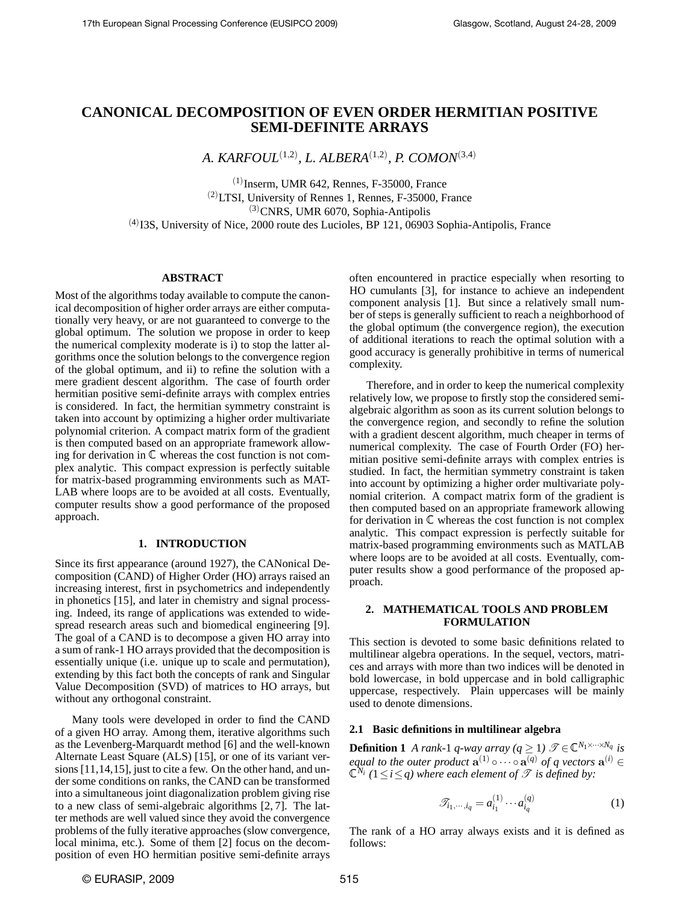# **CANONICAL DECOMPOSITION OF EVEN ORDER HERMITIAN POSITIVE SEMI-DEFINITE ARRAYS**

*A. KARFOUL*(1,2) *, L. ALBERA*(1,2) *, P. COMON*(3,4)

 $(1)$ Inserm, UMR 642, Rennes, F-35000, France (2)LTSI, University of Rennes 1, Rennes, F-35000, France  $^{(3)}$ CNRS, UMR 6070, Sophia-Antipolis  $<sup>(4)</sup>$  I3S, University of Nice, 2000 route des Lucioles, BP 121, 06903 Sophia-Antipolis, France</sup>

# **ABSTRACT**

Most of the algorithms today available to compute the canonical decomposition of higher order arrays are either computationally very heavy, or are not guaranteed to converge to the global optimum. The solution we propose in order to keep the numerical complexity moderate is i) to stop the latter algorithms once the solution belongs to the convergence region of the global optimum, and ii) to refine the solution with a mere gradient descent algorithm. The case of fourth order hermitian positive semi-definite arrays with complex entries is considered. In fact, the hermitian symmetry constraint is taken into account by optimizing a higher order multivariate polynomial criterion. A compact matrix form of the gradient is then computed based on an appropriate framework allowing for derivation in  $\mathbb C$  whereas the cost function is not complex analytic. This compact expression is perfectly suitable for matrix-based programming environments such as MAT-LAB where loops are to be avoided at all costs. Eventually, computer results show a good performance of the proposed approach.

## **1. INTRODUCTION**

Since its first appearance (around 1927), the CANonical Decomposition (CAND) of Higher Order (HO) arrays raised an increasing interest, first in psychometrics and independently in phonetics [15], and later in chemistry and signal processing. Indeed, its range of applications was extended to widespread research areas such and biomedical engineering [9]. The goal of a CAND is to decompose a given HO array into a sum of rank-1 HO arrays provided that the decomposition is essentially unique (i.e. unique up to scale and permutation), extending by this fact both the concepts of rank and Singular Value Decomposition (SVD) of matrices to HO arrays, but without any orthogonal constraint.

Many tools were developed in order to find the CAND of a given HO array. Among them, iterative algorithms such as the Levenberg-Marquardt method [6] and the well-known Alternate Least Square (ALS) [15], or one of its variant versions [11,14,15], just to cite a few. On the other hand, and under some conditions on ranks, the CAND can be transformed into a simultaneous joint diagonalization problem giving rise to a new class of semi-algebraic algorithms [2, 7]. The latter methods are well valued since they avoid the convergence problems of the fully iterative approaches (slow convergence, local minima, etc.). Some of them [2] focus on the decomposition of even HO hermitian positive semi-definite arrays

often encountered in practice especially when resorting to HO cumulants [3], for instance to achieve an independent component analysis [1]. But since a relatively small number of steps is generally sufficient to reach a neighborhood of the global optimum (the convergence region), the execution of additional iterations to reach the optimal solution with a good accuracy is generally prohibitive in terms of numerical complexity.

Therefore, and in order to keep the numerical complexity relatively low, we propose to firstly stop the considered semialgebraic algorithm as soon as its current solution belongs to the convergence region, and secondly to refine the solution with a gradient descent algorithm, much cheaper in terms of numerical complexity. The case of Fourth Order (FO) hermitian positive semi-definite arrays with complex entries is studied. In fact, the hermitian symmetry constraint is taken into account by optimizing a higher order multivariate polynomial criterion. A compact matrix form of the gradient is then computed based on an appropriate framework allowing for derivation in  $\mathbb C$  whereas the cost function is not complex analytic. This compact expression is perfectly suitable for matrix-based programming environments such as MATLAB where loops are to be avoided at all costs. Eventually, computer results show a good performance of the proposed approach.

# **2. MATHEMATICAL TOOLS AND PROBLEM FORMULATION**

This section is devoted to some basic definitions related to multilinear algebra operations. In the sequel, vectors, matrices and arrays with more than two indices will be denoted in bold lowercase, in bold uppercase and in bold calligraphic uppercase, respectively. Plain uppercases will be mainly used to denote dimensions.

# **2.1 Basic definitions in multilinear algebra**

**Definition 1** *A rank-*1 *q-way array* ( $q \ge 1$ )  $\mathscr{T} \in \mathbb{C}^{N_1 \times \cdots \times N_q}$  *is equal to the outer product*  $\mathbf{a}^{(1)} \circ \cdots \circ \mathbf{a}^{(q)}$  *of q vectors*  $\mathbf{a}^{(i)} \in$  $\mathbb{C}^{N_i}$  ( $1 \leq i \leq q$ ) where each element of  $\mathscr{T}$  *is defined by:* 

$$
\mathcal{T}_{i_1,\cdots,i_q} = a_{i_1}^{(1)} \cdots a_{i_q}^{(q)} \tag{1}
$$

The rank of a HO array always exists and it is defined as follows: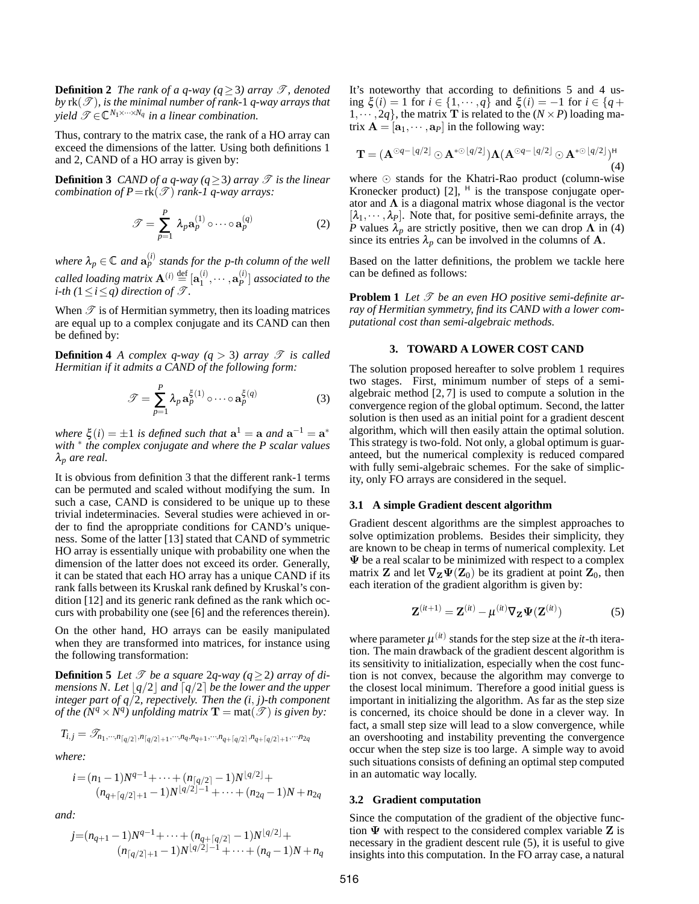**Definition 2** *The rank of a q-way*  $(q \geq 3)$  *array*  $\mathcal{T}$ *, denoted*  $b$ *y*  $rk(\mathcal{T})$ *, is the minimal number of rank-1 q-way arrays that*  $yield \ \mathscr{T} \in \mathbb{C}^{N_1 \times \cdots \times N_q}$  *in a linear combination.* 

Thus, contrary to the matrix case, the rank of a HO array can exceed the dimensions of the latter. Using both definitions 1 and 2, CAND of a HO array is given by:

**Definition 3** *CAND of a q-way* ( $q \ge 3$ ) *array*  $\mathcal{T}$  *is the linear combination of P*=rk( $\mathscr{T}$ ) *rank-1 q-way arrays:* 

$$
\mathcal{T} = \sum_{p=1}^{P} \lambda_p \mathbf{a}_p^{(1)} \circ \cdots \circ \mathbf{a}_p^{(q)}
$$
 (2)

where  $\lambda_p \in \mathbb{C}$  and  $\mathbf{a}_p^{(i)}$  stands for the p-th column of the well *called loading matrix*  $\mathbf{A}^{(i)} \stackrel{\text{def}}{=} [\mathbf{a}_1^{(i)}]$  $\mathbf{a}^{(i)}_1,\cdots,\mathbf{a}^{(i)}_P$ *P* ] *associated to the i*-th ( $1 \le i \le q$ ) direction of  $\mathscr{T}$ .

When  $\mathscr T$  is of Hermitian symmetry, then its loading matrices are equal up to a complex conjugate and its CAND can then be defined by:

**Definition 4** *A complex q-way*  $(q > 3)$  *array*  $\mathscr T$  *is called Hermitian if it admits a CAND of the following form:*

$$
\mathcal{T} = \sum_{p=1}^{P} \lambda_p \mathbf{a}_p^{\xi(1)} \circ \cdots \circ \mathbf{a}_p^{\xi(q)}
$$
(3)

where  $\xi(i) = \pm 1$  is defined such that  $\mathbf{a}^1 = \mathbf{a}$  and  $\mathbf{a}^{-1} = \mathbf{a}^*$ *with* <sup>∗</sup> *the complex conjugate and where the P scalar values* λ*<sup>p</sup> are real.*

It is obvious from definition 3 that the different rank-1 terms can be permuted and scaled without modifying the sum. In such a case, CAND is considered to be unique up to these trivial indeterminacies. Several studies were achieved in order to find the aproppriate conditions for CAND's uniqueness. Some of the latter [13] stated that CAND of symmetric HO array is essentially unique with probability one when the dimension of the latter does not exceed its order. Generally, it can be stated that each HO array has a unique CAND if its rank falls between its Kruskal rank defined by Kruskal's condition [12] and its generic rank defined as the rank which occurs with probability one (see [6] and the references therein).

On the other hand, HO arrays can be easily manipulated when they are transformed into matrices, for instance using the following transformation:

**Definition 5** *Let*  $\mathcal{T}$  *be a square* 2*q-way* ( $q \ge 2$ ) *array of dimensions N. Let*  $\lfloor q/2 \rfloor$  *and*  $\lceil q/2 \rceil$  *be the lower and the upper integer part of q*/2*, repectively. Then the (i*, *j)-th component of the*  $(N^q \times N^q)$  unfolding matrix  $\mathbf{T} = \text{mat}(\mathcal{T})$  is given by:

$$
T_{i,j} = \mathcal{T}_{n_1, \cdots, n_{\lceil q/2 \rceil}, n_{\lceil q/2 \rceil + 1}, \cdots, n_q, n_{q+1}, \cdots, n_{q+\lceil q/2 \rceil}, n_{q+\lceil q/2 \rceil + 1}, \cdots, n_{2q}}
$$

*where:*

$$
i = (n_1 - 1)N^{q-1} + \dots + (n_{\lceil q/2 \rceil} - 1)N^{\lfloor q/2 \rfloor} +
$$
  
\n
$$
(n_{q+\lceil q/2 \rceil+1} - 1)N^{\lfloor q/2 \rfloor-1} + \dots + (n_{2q} - 1)N + n_{2q}
$$

*and:*

$$
j = (n_{q+1}-1)N^{q-1} + \dots + (n_{q+\lceil q/2 \rceil}-1)N^{\lfloor q/2 \rfloor} + (n_{\lceil q/2 \rceil+1}-1)N^{\lfloor q/2 \rfloor-1} + \dots + (n_q-1)N + n_q
$$

It's noteworthy that according to definitions 5 and 4 using  $\xi(i) = 1$  for  $i \in \{1, \dots, q\}$  and  $\xi(i) = -1$  for  $i \in \{q +$  $1, \dots, 2q$ , the matrix **T** is related to the  $(N \times P)$  loading matrix  $\mathbf{A} = [\mathbf{a}_1, \cdots, \mathbf{a}_p]$  in the following way:

$$
\mathbf{T} = (\mathbf{A}^{\odot q - \lfloor q/2 \rfloor} \odot \mathbf{A}^{*\odot \lfloor q/2 \rfloor}) \Lambda (\mathbf{A}^{\odot q - \lfloor q/2 \rfloor} \odot \mathbf{A}^{*\odot \lfloor q/2 \rfloor})^{\mathsf{H}} \tag{4}
$$

where  $\odot$  stands for the Khatri-Rao product (column-wise Kronecker product) [2],  $^H$  is the transpose conjugate operator and  $\Lambda$  is a diagonal matrix whose diagonal is the vector  $[\lambda_1, \dots, \lambda_P]$ . Note that, for positive semi-definite arrays, the *P* values  $\lambda_p$  are strictly positive, then we can drop  $\Lambda$  in (4) since its entries  $\lambda_p$  can be involved in the columns of **A**.

Based on the latter definitions, the problem we tackle here can be defined as follows:

**Problem 1** Let  $\mathcal T$  be an even HO positive semi-definite ar*ray of Hermitian symmetry, find its CAND with a lower computational cost than semi-algebraic methods.*

# **3. TOWARD A LOWER COST CAND**

The solution proposed hereafter to solve problem 1 requires two stages. First, minimum number of steps of a semialgebraic method [2, 7] is used to compute a solution in the convergence region of the global optimum. Second, the latter solution is then used as an initial point for a gradient descent algorithm, which will then easily attain the optimal solution. This strategy is two-fold. Not only, a global optimum is guaranteed, but the numerical complexity is reduced compared with fully semi-algebraic schemes. For the sake of simplicity, only FO arrays are considered in the sequel.

#### **3.1 A simple Gradient descent algorithm**

Gradient descent algorithms are the simplest approaches to solve optimization problems. Besides their simplicity, they are known to be cheap in terms of numerical complexity. Let  $\Psi$  be a real scalar to be minimized with respect to a complex matrix **Z** and let  $\nabla_{\mathbf{Z}} \Psi(\mathbf{Z}_0)$  be its gradient at point  $\mathbf{Z}_0$ , then each iteration of the gradient algorithm is given by:

$$
\mathbf{Z}^{(it+1)} = \mathbf{Z}^{(it)} - \boldsymbol{\mu}^{(it)} \nabla_{\mathbf{Z}} \boldsymbol{\Psi}(\mathbf{Z}^{(it)})
$$
(5)

where parameter  $\mu^{(it)}$  stands for the step size at the *it*-th iteration. The main drawback of the gradient descent algorithm is its sensitivity to initialization, especially when the cost function is not convex, because the algorithm may converge to the closest local minimum. Therefore a good initial guess is important in initializing the algorithm. As far as the step size is concerned, its choice should be done in a clever way. In fact, a small step size will lead to a slow convergence, while an overshooting and instability preventing the convergence occur when the step size is too large. A simple way to avoid such situations consists of defining an optimal step computed in an automatic way locally.

#### **3.2 Gradient computation**

Since the computation of the gradient of the objective function  $\Psi$  with respect to the considered complex variable  $Z$  is necessary in the gradient descent rule (5), it is useful to give insights into this computation. In the FO array case, a natural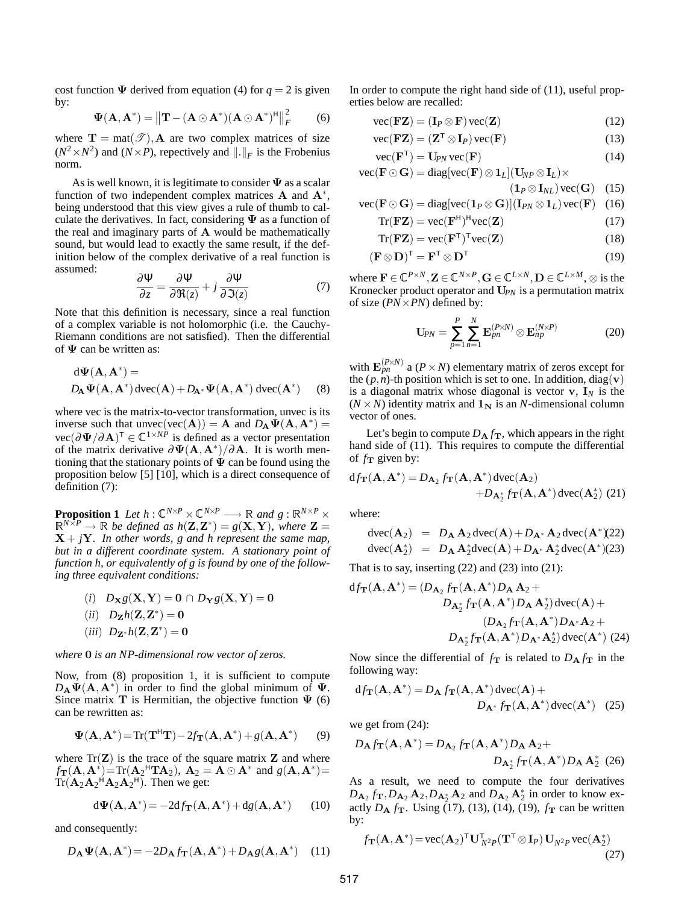cost function  $\Psi$  derived from equation (4) for  $q = 2$  is given by:

$$
\Psi(\mathbf{A}, \mathbf{A}^*) = ||\mathbf{T} - (\mathbf{A} \odot \mathbf{A}^*)(\mathbf{A} \odot \mathbf{A}^*)^H||_F^2
$$
 (6)

where  $\mathbf{T} = \text{mat}(\mathcal{T}), \mathbf{A}$  are two complex matrices of size  $(N^2 \times N^2)$  and  $(N \times P)$ , repectively and  $\|.\|_F$  is the Frobenius norm.

As is well known, it is legitimate to consider  $\Psi$  as a scalar function of two independent complex matrices  $A$  and  $A^*$ , being understood that this view gives a rule of thumb to calculate the derivatives. In fact, considering  $\Psi$  as a function of the real and imaginary parts of  $A$  would be mathematically sound, but would lead to exactly the same result, if the definition below of the complex derivative of a real function is assumed:

$$
\frac{\partial \Psi}{\partial z} = \frac{\partial \Psi}{\partial \Re(z)} + j \frac{\partial \Psi}{\partial \Im(z)}
$$
(7)

Note that this definition is necessary, since a real function of a complex variable is not holomorphic (i.e. the Cauchy-Riemann conditions are not satisfied). Then the differential of  $\Psi$  can be written as:

$$
d\Psi(\mathbf{A}, \mathbf{A}^*) =
$$
  

$$
D_{\mathbf{A}}\Psi(\mathbf{A}, \mathbf{A}^*) dvec(\mathbf{A}) + D_{\mathbf{A}^*}\Psi(\mathbf{A}, \mathbf{A}^*) dvec(\mathbf{A}^*)
$$
 (8)

where vec is the matrix-to-vector transformation, unvec is its inverse such that unvec(vec(A)) = A and  $D_A \Psi(A, A^*)$  = vec( $\partial \Psi / \partial A$ )<sup>T</sup> ∈  $\mathbb{C}^{1 \times NP}$  is defined as a vector presentation of the matrix derivative  $\partial \Psi(A, A^*)/\partial A$ . It is worth mentioning that the stationary points of  $\overline{\Psi}$  can be found using the proposition below [5] [10], which is a direct consequence of definition (7):

**Proposition 1** Let  $h: \mathbb{C}^{N \times P} \times \mathbb{C}^{N \times P} \longrightarrow \mathbb{R}$  and  $g: \mathbb{R}^{N \times P} \times$  $\mathbb{R}^{N\times P} \to \mathbb{R}$  be defined as  $h(\mathbf{Z}, \mathbf{Z}^*) = g(\mathbf{X}, \mathbf{Y})$ , where  $\mathbf{Z} =$  $X + jY$ . In other words, g and h represent the same map, *but in a different coordinate system. A stationary point of function h, or equivalently of g is found by one of the following three equivalent conditions:*

- $(i)$   $D_{\mathbf{X}}g(\mathbf{X}, \mathbf{Y}) = \mathbf{0} \cap D_{\mathbf{Y}}g(\mathbf{X}, \mathbf{Y}) = \mathbf{0}$  $(iii)$   $D_{\mathbf{Z}}h(\mathbf{Z}, \mathbf{Z}^*) = 0$
- $(iii)$   $D_{\mathbf{Z}^*}h(\mathbf{Z}, \mathbf{Z}^*) = 0$

*where* 0 *is an NP-dimensional row vector of zeros.*

Now, from (8) proposition 1, it is sufficient to compute  $D_A \Psi(A, A^*)$  in order to find the global minimum of  $\Psi$ . Since matrix T is Hermitian, the objective function  $\Psi$  (6) can be rewritten as:

$$
\Psi(\mathbf{A}, \mathbf{A}^*) = \text{Tr}(\mathbf{T}^{\mathsf{H}} \mathbf{T}) - 2f_{\mathbf{T}}(\mathbf{A}, \mathbf{A}^*) + g(\mathbf{A}, \mathbf{A}^*)
$$
(9)

where  $Tr(Z)$  is the trace of the square matrix Z and where  $f_{\mathbf{T}}(\mathbf{A}, \mathbf{A}^*)$ =Tr( $\mathbf{A}_2$ <sup>H</sup>TA<sub>2</sub>),  $\mathbf{A}_2 = \mathbf{A} \odot \mathbf{A}^*$  and  $g(\mathbf{A}, \mathbf{A}^*)$ =  $Tr(\mathbf{A}_2 \mathbf{A}_2^{\mathsf{H}} \mathbf{A}_2 \mathbf{A}_2^{\mathsf{H}})$ . Then we get:

$$
d\Psi(\mathbf{A}, \mathbf{A}^*) = -2df_{\mathbf{T}}(\mathbf{A}, \mathbf{A}^*) + dg(\mathbf{A}, \mathbf{A}^*)
$$
 (10)

and consequently:

$$
D_{\mathbf{A}}\Psi(\mathbf{A}, \mathbf{A}^*) = -2D_{\mathbf{A}}f_{\mathbf{T}}(\mathbf{A}, \mathbf{A}^*) + D_{\mathbf{A}}g(\mathbf{A}, \mathbf{A}^*) \quad (11)
$$

In order to compute the right hand side of (11), useful properties below are recalled:

$$
\text{vec}(\mathbf{FZ}) = (\mathbf{I}_P \otimes \mathbf{F}) \text{vec}(\mathbf{Z}) \tag{12}
$$

$$
\text{vec}(\mathbf{FZ}) = (\mathbf{Z}^{\mathsf{T}} \otimes \mathbf{I}_P) \text{vec}(\mathbf{F}) \tag{13}
$$

$$
\text{vec}(\mathbf{F}^{\mathsf{T}}) = \mathbf{U}_{PN} \text{vec}(\mathbf{F}) \tag{14}
$$

 $\text{vec}(\mathbf{F} \odot \mathbf{G}) = \text{diag}[\text{vec}(\mathbf{F}) \otimes \mathbf{1}_L](\mathbf{U}_{NP} \otimes \mathbf{I}_L) \times$ 

$$
(1_P \otimes I_{NL}) \text{vec}(\mathbf{G}) \quad (15)
$$
  
vec( $\mathbf{F} \odot \mathbf{G}$ ) - diag[vec(1\_P \otimes \mathbf{G})](I\_{\text{nv}} \otimes 1\_L) \text{vec}(\mathbf{F}) \quad (16)

$$
\text{rec}(\mathbf{F} \odot \mathbf{G}) = \text{diag}[\text{vec}(\mathbf{1}_P \otimes \mathbf{G})](\mathbf{1}_{PN} \otimes \mathbf{1}_L)\text{vec}(\mathbf{F}) \quad (16)
$$

$$
Tr(\mathbf{FZ}) = \text{vec}(\mathbf{F}^{\mathsf{H}})^{\mathsf{H}} \text{vec}(\mathbf{Z})
$$
 (17)

$$
Tr(\mathbf{FZ}) = \text{vec}(\mathbf{F}^{\mathsf{T}})^{\mathsf{T}} \text{vec}(\mathbf{Z})
$$
 (18)

$$
(\mathbf{F} \otimes \mathbf{D})^{\mathsf{T}} = \mathbf{F}^{\mathsf{T}} \otimes \mathbf{D}^{\mathsf{T}} \tag{19}
$$

where  $\mathbf{F} \in \mathbb{C}^{P \times N}, \mathbf{Z} \in \mathbb{C}^{N \times P}, \mathbf{G} \in \mathbb{C}^{L \times N}, \mathbf{D} \in \mathbb{C}^{L \times M}, \otimes \text{ is the }$ Kronecker product operator and U*PN* is a permutation matrix of size (*PN*×*PN*) defined by:

$$
\mathbf{U}_{PN} = \sum_{p=1}^{P} \sum_{n=1}^{N} \mathbf{E}_{pn}^{(P \times N)} \otimes \mathbf{E}_{np}^{(N \times P)} \tag{20}
$$

with  $\mathbf{E}_{pn}^{(P\times N)}$  a ( $P \times N$ ) elementary matrix of zeros except for the  $(p, n)$ -th position which is set to one. In addition, diag(v) is a diagonal matrix whose diagonal is vector  $v$ ,  $I_N$  is the  $(N \times N)$  identity matrix and  $\mathbf{1_N}$  is an *N*-dimensional column vector of ones.

Let's begin to compute  $D_A f_T$ , which appears in the right hand side of (11). This requires to compute the differential of  $f_{\rm T}$  given by:

$$
df_{\mathbf{T}}(\mathbf{A}, \mathbf{A}^*) = D_{\mathbf{A}_2} f_{\mathbf{T}}(\mathbf{A}, \mathbf{A}^*) \operatorname{dvec}(\mathbf{A}_2)
$$
  
+
$$
D_{\mathbf{A}_2^*} f_{\mathbf{T}}(\mathbf{A}, \mathbf{A}^*) \operatorname{dvec}(\mathbf{A}_2^*) \tag{21}
$$

where:

$$
\begin{array}{rcl}\n\text{dvec}(\mathbf{A}_2) &=& D_\mathbf{A} \, \mathbf{A}_2 \, \text{dvec}(\mathbf{A}) + D_{\mathbf{A}^*} \, \mathbf{A}_2 \, \text{dvec}(\mathbf{A}^*) \tag{22} \\
\text{dvec}(\mathbf{A}_2^*) &=& D_\mathbf{A} \, \mathbf{A}_2^* \text{dvec}(\mathbf{A}) + D_{\mathbf{A}^*} \, \mathbf{A}_2^* \, \text{dvec}(\mathbf{A}^*) \tag{23}\n\end{array}
$$

That is to say, inserting  $(22)$  and  $(23)$  into  $(21)$ :

$$
df_{\mathbf{T}}(\mathbf{A}, \mathbf{A}^*) = (D_{\mathbf{A}_2} f_{\mathbf{T}}(\mathbf{A}, \mathbf{A}^*) D_{\mathbf{A}} \mathbf{A}_2 + D_{\mathbf{A}_2^*} f_{\mathbf{T}}(\mathbf{A}, \mathbf{A}^*) D_{\mathbf{A}} \mathbf{A}_2^*) d \text{vec}(\mathbf{A}) +
$$
  

$$
(D_{\mathbf{A}_2} f_{\mathbf{T}}(\mathbf{A}, \mathbf{A}^*) D_{\mathbf{A}^*} \mathbf{A}_2 + D_{\mathbf{A}_2^*} f_{\mathbf{T}}(\mathbf{A}, \mathbf{A}^*) D_{\mathbf{A}^*} \mathbf{A}_2^*) d \text{vec}(\mathbf{A}^*)
$$
(24)

Now since the differential of  $f_{\text{T}}$  is related to  $D_{\text{A}} f_{\text{T}}$  in the following way:

$$
df_{\mathbf{T}}(\mathbf{A}, \mathbf{A}^*) = D_{\mathbf{A}} f_{\mathbf{T}}(\mathbf{A}, \mathbf{A}^*) \operatorname{dvec}(\mathbf{A}) +
$$
  

$$
D_{\mathbf{A}^*} f_{\mathbf{T}}(\mathbf{A}, \mathbf{A}^*) \operatorname{dvec}(\mathbf{A}^*) \quad (25)
$$

we get from (24):

$$
D_{\mathbf{A}} f_{\mathbf{T}}(\mathbf{A}, \mathbf{A}^*) = D_{\mathbf{A}_2} f_{\mathbf{T}}(\mathbf{A}, \mathbf{A}^*) D_{\mathbf{A}} \mathbf{A}_2 +
$$
  

$$
D_{\mathbf{A}_2^*} f_{\mathbf{T}}(\mathbf{A}, \mathbf{A}^*) D_{\mathbf{A}} \mathbf{A}_2^*
$$
 (26)

As a result, we need to compute the four derivatives  $D_{\mathbf{A}_2} f_{\mathbf{T}}, D_{\mathbf{A}_2} \mathbf{A}_2, D_{\mathbf{A}_2^*} \mathbf{A}_2$  and  $D_{\mathbf{A}_2} \mathbf{A}_2^*$  in order to know exactly  $D_A f_T$ . Using (17), (13), (14), (19),  $f_T$  can be written by:

$$
f_{\mathbf{T}}(\mathbf{A}, \mathbf{A}^*) = \text{vec}(\mathbf{A}_2)^{\mathsf{T}} \mathbf{U}_{N^2 P}^{\mathsf{T}}(\mathbf{T}^{\mathsf{T}} \otimes \mathbf{I}_P) \mathbf{U}_{N^2 P} \text{vec}(\mathbf{A}_2^*)
$$
\n(27)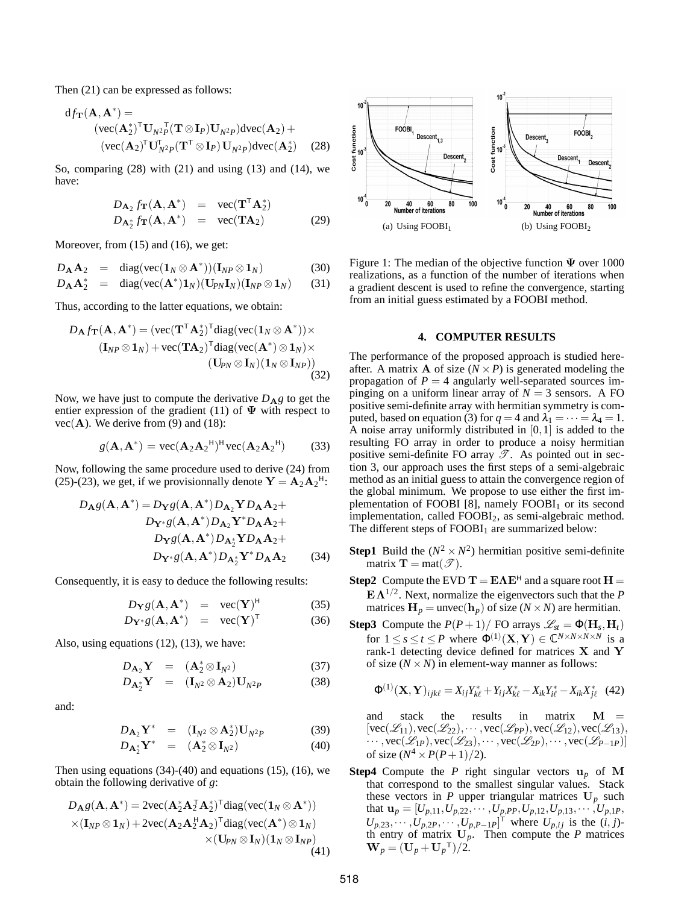Then (21) can be expressed as follows:

$$
df_{\mathbf{T}}(\mathbf{A}, \mathbf{A}^*) =
$$
  
\n
$$
(\text{vec}(\mathbf{A}_2^*)^{\mathsf{T}} \mathbf{U}_{N^2 P}(\mathbf{T} \otimes \mathbf{I}_P) \mathbf{U}_{N^2 P}) \text{dvec}(\mathbf{A}_2) +
$$
  
\n
$$
(\text{vec}(\mathbf{A}_2)^{\mathsf{T}} \mathbf{U}_{N^2 P}^{\mathsf{T}}(\mathbf{T}^{\mathsf{T}} \otimes \mathbf{I}_P) \mathbf{U}_{N^2 P}) \text{dvec}(\mathbf{A}_2^*)
$$
 (28)

So, comparing  $(28)$  with  $(21)$  and using  $(13)$  and  $(14)$ , we have:

$$
D_{\mathbf{A}_2} f_{\mathbf{T}}(\mathbf{A}, \mathbf{A}^*) = \text{vec}(\mathbf{T}^{\mathsf{T}} \mathbf{A}_2^*)
$$
  
\n
$$
D_{\mathbf{A}_2^*} f_{\mathbf{T}}(\mathbf{A}, \mathbf{A}^*) = \text{vec}(\mathbf{T} \mathbf{A}_2)
$$
 (29)

Moreover, from (15) and (16), we get:

$$
D_{\mathbf{A}}\mathbf{A}_2 = \text{diag}(\text{vec}(\mathbf{1}_N \otimes \mathbf{A}^*))(\mathbf{I}_{NP} \otimes \mathbf{1}_N) \tag{30}
$$

$$
D_{\mathbf{A}}\mathbf{A}_{2}^{*} = \text{diag}(\text{vec}(\mathbf{A}^{*})\mathbf{1}_{N})(\mathbf{U}_{PN}\mathbf{I}_{N})(\mathbf{I}_{NP}\otimes \mathbf{1}_{N}) \qquad (31)
$$

Thus, according to the latter equations, we obtain:

$$
D_{\mathbf{A}}f_{\mathbf{T}}(\mathbf{A}, \mathbf{A}^*) = (\text{vec}(\mathbf{T}^{\mathsf{T}}\mathbf{A}_2^*)^{\mathsf{T}}\text{diag}(\text{vec}(\mathbf{1}_N \otimes \mathbf{A}^*)) \times (\mathbf{I}_{NP} \otimes \mathbf{1}_N) + \text{vec}(\mathbf{T}\mathbf{A}_2)^{\mathsf{T}}\text{diag}(\text{vec}(\mathbf{A}^*) \otimes \mathbf{1}_N) \times (\mathbf{U}_{PN} \otimes \mathbf{I}_N)(\mathbf{1}_N \otimes \mathbf{I}_{NP}))
$$
(32)

Now, we have just to compute the derivative  $D_{\mathbf{A}}g$  to get the entier expression of the gradient (11) of  $\Psi$  with respect to  $vec(\mathbf{A})$ . We derive from (9) and (18):

$$
g(\mathbf{A}, \mathbf{A}^*) = \text{vec}(\mathbf{A}_2 \mathbf{A}_2 \mathbf{A}_1)^{\mathsf{H}} \text{vec}(\mathbf{A}_2 \mathbf{A}_2)^{\mathsf{H}} \tag{33}
$$

Now, following the same procedure used to derive (24) from (25)-(23), we get, if we provisionnally denote  $Y = A_2 A_2$ <sup> $\text{H}$ </sup>:

$$
D_{\mathbf{A}}g(\mathbf{A}, \mathbf{A}^*) = D_{\mathbf{Y}}g(\mathbf{A}, \mathbf{A}^*)D_{\mathbf{A}_2}\mathbf{Y}D_{\mathbf{A}}\mathbf{A}_2 +
$$
  
\n
$$
D_{\mathbf{Y}^*g}(\mathbf{A}, \mathbf{A}^*)D_{\mathbf{A}_2}\mathbf{Y}^*D_{\mathbf{A}}\mathbf{A}_2 +
$$
  
\n
$$
D_{\mathbf{Y}^g}(\mathbf{A}, \mathbf{A}^*)D_{\mathbf{A}_2^*}\mathbf{Y}^*D_{\mathbf{A}}\mathbf{A}_2 +
$$
  
\n
$$
D_{\mathbf{Y}^*g}(\mathbf{A}, \mathbf{A}^*)D_{\mathbf{A}_2^*}\mathbf{Y}^*D_{\mathbf{A}}\mathbf{A}_2 \qquad (34)
$$

Consequently, it is easy to deduce the following results:

$$
D_{\mathbf{Y}}g(\mathbf{A}, \mathbf{A}^*) = \text{vec}(\mathbf{Y})^{\text{H}} \tag{35}
$$

$$
D_{\mathbf{Y}^*}g(\mathbf{A}, \mathbf{A}^*) = \text{vec}(\mathbf{Y})^{\mathsf{T}} \tag{36}
$$

Also, using equations (12), (13), we have:

$$
D_{\mathbf{A}_2} \mathbf{Y} = (\mathbf{A}_2^* \otimes \mathbf{I}_{N^2}) \tag{37}
$$

$$
D_{\mathbf{A}_2^*} \mathbf{Y} = (\mathbf{I}_{N^2} \otimes \mathbf{A}_2) \mathbf{U}_{N^2 P} \tag{38}
$$

and:

$$
D_{\mathbf{A}_2} \mathbf{Y}^* = (\mathbf{I}_{N^2} \otimes \mathbf{A}_2^*) \mathbf{U}_{N^2 P} \tag{39}
$$

$$
D_{\mathbf{A}_2^*} \mathbf{Y}^* = (\mathbf{A}_2^* \otimes \mathbf{I}_{N^2}) \tag{40}
$$

Then using equations  $(34)-(40)$  and equations  $(15)$ ,  $(16)$ , we obtain the following derivative of *g*:

$$
D_{\mathbf{A}}g(\mathbf{A}, \mathbf{A}^*) = 2\text{vec}(\mathbf{A}_2^* \mathbf{A}_2^T \mathbf{A}_2^*)^{\mathsf{T}} \text{diag}(\text{vec}(\mathbf{1}_N \otimes \mathbf{A}^*))
$$
  
× $(\mathbf{I}_{NP} \otimes \mathbf{1}_N) + 2\text{vec}(\mathbf{A}_2 \mathbf{A}_2^T \mathbf{A}_2)^{\mathsf{T}} \text{diag}(\text{vec}(\mathbf{A}^*) \otimes \mathbf{1}_N)$   
× $(\mathbf{U}_{PN} \otimes \mathbf{I}_N)(\mathbf{1}_N \otimes \mathbf{I}_{NP})$   
(41)



Figure 1: The median of the objective function  $\Psi$  over 1000 realizations, as a function of the number of iterations when a gradient descent is used to refine the convergence, starting from an initial guess estimated by a FOOBI method.

# **4. COMPUTER RESULTS**

The performance of the proposed approach is studied hereafter. A matrix **A** of size  $(N \times P)$  is generated modeling the propagation of  $P = 4$  angularly well-separated sources impinging on a uniform linear array of  $N = 3$  sensors. A FO positive semi-definite array with hermitian symmetry is computed, based on equation (3) for  $q = 4$  and  $\lambda_1 = \cdots = \lambda_4 = 1$ . A noise array uniformly distributed in [0,1] is added to the resulting FO array in order to produce a noisy hermitian positive semi-definite FO array  $\mathscr{T}$ . As pointed out in section 3, our approach uses the first steps of a semi-algebraic method as an initial guess to attain the convergence region of the global minimum. We propose to use either the first implementation of FOOBI [8], namely  $FOOBI<sub>1</sub>$  or its second implementation, called FOOBI<sub>2</sub>, as semi-algebraic method. The different steps of  $FOOBI<sub>1</sub>$  are summarized below:

- **Step1** Build the  $(N^2 \times N^2)$  hermitian positive semi-definite matrix  $\mathbf{T} = \text{mat}(\mathcal{T})$ .
- **Step2** Compute the EVD  $T = E\Lambda E^H$  and a square root  $H =$ EΛ1/<sup>2</sup> . Next, normalize the eigenvectors such that the *P* matrices  $\mathbf{H}_p = \text{unvec}(\mathbf{h}_p)$  of size ( $N \times N$ ) are hermitian.
- **Step3** Compute the  $P(P+1)$ / FO arrays  $\mathcal{L}_{st} = \Phi(\mathbf{H}_s, \mathbf{H}_t)$ for  $1 \le s \le t \le P$  where  $\Phi^{(1)}(\mathbf{X}, \mathbf{Y}) \in \mathbb{C}^{N \times N \times N \times N}$  is a rank-1 detecting device defined for matrices X and Y of size  $(N \times N)$  in element-way manner as follows:

$$
\Phi^{(1)}(\mathbf{X}, \mathbf{Y})_{ijk\ell} = X_{ij}Y_{k\ell}^* + Y_{ij}X_{k\ell}^* - X_{ik}Y_{i\ell}^* - X_{ik}X_{j\ell}^* \quad (42)
$$

and stack the results in matrix M =  $[vec(\mathcal{L}_{11}),vec(\mathcal{L}_{22}),\cdots,vec(\mathcal{L}_{PP}),vec(\mathcal{L}_{12}),vec(\mathcal{L}_{13}),$  $\cdots$ , vec( $\mathscr{L}_{1P}$ ), vec( $\mathscr{L}_{23}$ ),  $\cdots$ , vec( $\mathscr{L}_{2P}$ ),  $\cdots$ , vec( $\mathscr{L}_{P-1P}$ )] of size  $(N^4 \times P(P+1)/2)$ .

**Step4** Compute the *P* right singular vectors  $\mathbf{u}_p$  of M that correspond to the smallest singular values. Stack these vectors in  $P$  upper triangular matrices  $U_p$  such that  $\mathbf{u}_p = [U_{p,11}, U_{p,22}, \cdots, U_{p,PP}, U_{p,12}, U_{p,13}, \cdots, U_{p,1P},$  $U_{p,23}, \cdots, U_{p,2P}, \cdots, U_{p,P-1P}]^{\top}$  where  $U_{p,ij}$  is the  $(i, j)$ th entry of matrix  $U_p$ . Then compute the *P* matrices  $$